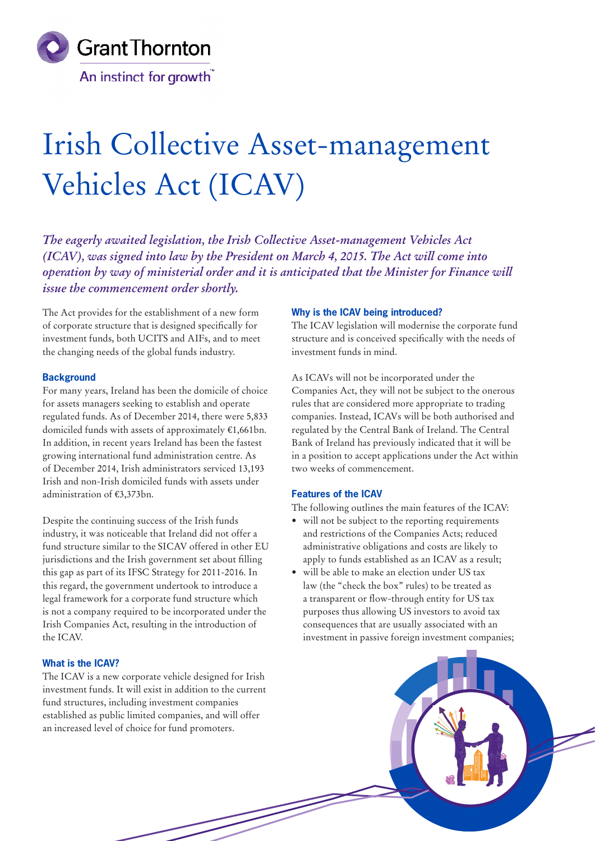

# Irish Collective Asset-management Vehicles Act (ICAV)

*The eagerly awaited legislation, the Irish Collective Asset-management Vehicles Act (ICAV), was signed into law by the President on March 4, 2015. The Act will come into operation by way of ministerial order and it is anticipated that the Minister for Finance will issue the commencement order shortly.* 

The Act provides for the establishment of a new form of corporate structure that is designed specifically for investment funds, both UCITS and AIFs, and to meet the changing needs of the global funds industry.

#### **Background**

For many years, Ireland has been the domicile of choice for assets managers seeking to establish and operate regulated funds. As of December 2014, there were 5,833 domiciled funds with assets of approximately €1,661bn. In addition, in recent years Ireland has been the fastest growing international fund administration centre. As of December 2014, Irish administrators serviced 13,193 Irish and non-Irish domiciled funds with assets under administration of €3,373bn.

Despite the continuing success of the Irish funds industry, it was noticeable that Ireland did not offer a fund structure similar to the SICAV offered in other EU jurisdictions and the Irish government set about filling this gap as part of its IFSC Strategy for 2011-2016. In this regard, the government undertook to introduce a legal framework for a corporate fund structure which is not a company required to be incorporated under the Irish Companies Act, resulting in the introduction of the ICAV.

# **What is the ICAV?**

The ICAV is a new corporate vehicle designed for Irish investment funds. It will exist in addition to the current fund structures, including investment companies established as public limited companies, and will offer an increased level of choice for fund promoters.

## **Why is the ICAV being introduced?**

The ICAV legislation will modernise the corporate fund structure and is conceived specifically with the needs of investment funds in mind.

As ICAVs will not be incorporated under the Companies Act, they will not be subject to the onerous rules that are considered more appropriate to trading companies. Instead, ICAVs will be both authorised and regulated by the Central Bank of Ireland. The Central Bank of Ireland has previously indicated that it will be in a position to accept applications under the Act within two weeks of commencement.

## **Features of the ICAV**

The following outlines the main features of the ICAV:

- will not be subject to the reporting requirements and restrictions of the Companies Acts; reduced administrative obligations and costs are likely to apply to funds established as an ICAV as a result;
- will be able to make an election under US tax law (the "check the box" rules) to be treated as a transparent or flow-through entity for US tax purposes thus allowing US investors to avoid tax consequences that are usually associated with an investment in passive foreign investment companies;